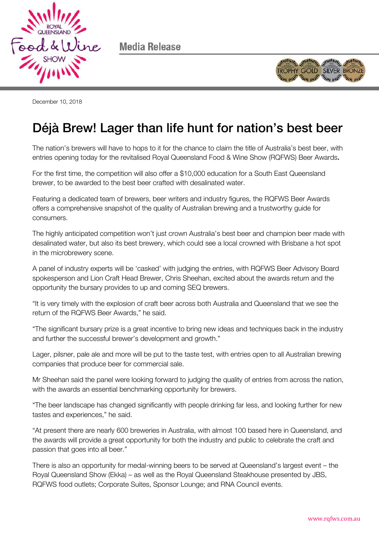

Media Release



December 10, 2018

## Déjà Brew! Lager than life hunt for nation's best beer

The nation's brewers will have to hops to it for the chance to claim the title of Australia's best beer, with entries opening today for the revitalised Royal Queensland Food & Wine Show (RQFWS) Beer Awards.

For the first time, the competition will also offer a \$10,000 education for a South East Queensland brewer, to be awarded to the best beer crafted with desalinated water.

Featuring a dedicated team of brewers, beer writers and industry figures, the RQFWS Beer Awards offers a comprehensive snapshot of the quality of Australian brewing and a trustworthy guide for consumers.

The highly anticipated competition won't just crown Australia's best beer and champion beer made with desalinated water, but also its best brewery, which could see a local crowned with Brisbane a hot spot in the microbrewery scene.

A panel of industry experts will be 'casked' with judging the entries, with RQFWS Beer Advisory Board spokesperson and Lion Craft Head Brewer, Chris Sheehan, excited about the awards return and the opportunity the bursary provides to up and coming SEQ brewers.

"It is very timely with the explosion of craft beer across both Australia and Queensland that we see the return of the RQFWS Beer Awards," he said.

"The significant bursary prize is a great incentive to bring new ideas and techniques back in the industry and further the successful brewer's development and growth."

Lager, pilsner, pale ale and more will be put to the taste test, with entries open to all Australian brewing companies that produce beer for commercial sale.

Mr Sheehan said the panel were looking forward to judging the quality of entries from across the nation, with the awards an essential benchmarking opportunity for brewers.

"The beer landscape has changed significantly with people drinking far less, and looking further for new tastes and experiences," he said.

"At present there are nearly 600 breweries in Australia, with almost 100 based here in Queensland, and the awards will provide a great opportunity for both the industry and public to celebrate the craft and passion that goes into all beer."

There is also an opportunity for medal-winning beers to be served at Queensland's largest event – the Royal Queensland Show (Ekka) – as well as the Royal Queensland Steakhouse presented by JBS, RQFWS food outlets; Corporate Suites, Sponsor Lounge; and RNA Council events.